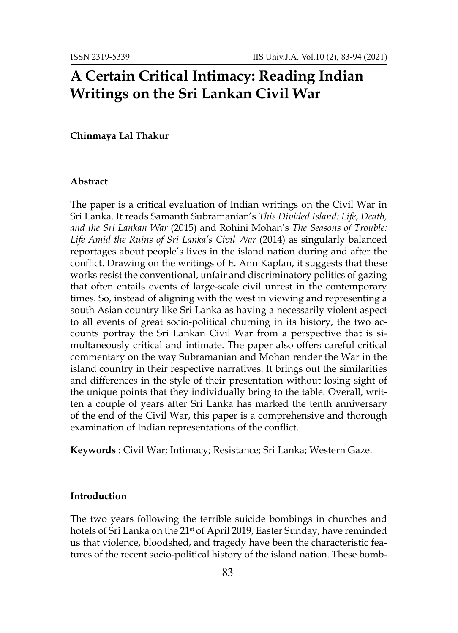# **A Certain Critical Intimacy: Reading Indian Writings on the Sri Lankan Civil War**

### **Chinmaya Lal Thakur**

#### **Abstract**

The paper is a critical evaluation of Indian writings on the Civil War in Sri Lanka. It reads Samanth Subramanian's *This Divided Island: Life, Death, and the Sri Lankan War* (2015) and Rohini Mohan's *The Seasons of Trouble: Life Amid the Ruins of Sri Lanka's Civil War* (2014) as singularly balanced reportages about people's lives in the island nation during and after the conflict. Drawing on the writings of E. Ann Kaplan, it suggests that these works resist the conventional, unfair and discriminatory politics of gazing that often entails events of large-scale civil unrest in the contemporary times. So, instead of aligning with the west in viewing and representing a south Asian country like Sri Lanka as having a necessarily violent aspect to all events of great socio-political churning in its history, the two accounts portray the Sri Lankan Civil War from a perspective that is simultaneously critical and intimate. The paper also offers careful critical commentary on the way Subramanian and Mohan render the War in the island country in their respective narratives. It brings out the similarities and differences in the style of their presentation without losing sight of the unique points that they individually bring to the table. Overall, written a couple of years after Sri Lanka has marked the tenth anniversary of the end of the Civil War, this paper is a comprehensive and thorough examination of Indian representations of the conflict.

**Keywords :** Civil War; Intimacy; Resistance; Sri Lanka; Western Gaze.

## **Introduction**

The two years following the terrible suicide bombings in churches and hotels of Sri Lanka on the 21<sup>st</sup> of April 2019, Easter Sunday, have reminded us that violence, bloodshed, and tragedy have been the characteristic features of the recent socio-political history of the island nation. These bomb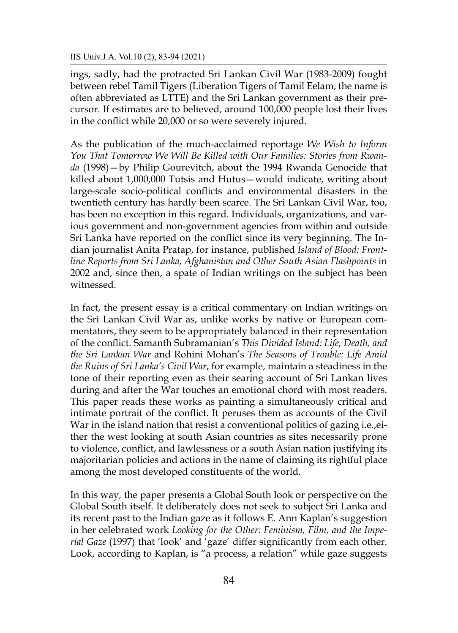ings, sadly, had the protracted Sri Lankan Civil War (1983-2009) fought between rebel Tamil Tigers (Liberation Tigers of Tamil Eelam, the name is often abbreviated as LTTE) and the Sri Lankan government as their precursor. If estimates are to believed, around 100,000 people lost their lives in the conflict while 20,000 or so were severely injured.

As the publication of the much-acclaimed reportage *We Wish to Inform You That Tomorrow We Will Be Killed with Our Families: Stories from Rwanda* (1998)—by Philip Gourevitch, about the 1994 Rwanda Genocide that killed about 1,000,000 Tutsis and Hutus—would indicate, writing about large-scale socio-political conflicts and environmental disasters in the twentieth century has hardly been scarce. The Sri Lankan Civil War, too, has been no exception in this regard. Individuals, organizations, and various government and non-government agencies from within and outside Sri Lanka have reported on the conflict since its very beginning. The Indian journalist Anita Pratap, for instance, published *Island of Blood: Frontline Reports from Sri Lanka, Afghanistan and Other South Asian Flashpoints* in 2002 and, since then, a spate of Indian writings on the subject has been witnessed.

In fact, the present essay is a critical commentary on Indian writings on the Sri Lankan Civil War as, unlike works by native or European commentators, they seem to be appropriately balanced in their representation of the conflict. Samanth Subramanian's *This Divided Island: Life, Death, and the Sri Lankan War* and Rohini Mohan's *The Seasons of Trouble: Life Amid the Ruins of Sri Lanka's Civil War*, for example, maintain a steadiness in the tone of their reporting even as their searing account of Sri Lankan lives during and after the War touches an emotional chord with most readers. This paper reads these works as painting a simultaneously critical and intimate portrait of the conflict. It peruses them as accounts of the Civil War in the island nation that resist a conventional politics of gazing i.e.,either the west looking at south Asian countries as sites necessarily prone to violence, conflict, and lawlessness or a south Asian nation justifying its majoritarian policies and actions in the name of claiming its rightful place among the most developed constituents of the world.

In this way, the paper presents a Global South look or perspective on the Global South itself. It deliberately does not seek to subject Sri Lanka and its recent past to the Indian gaze as it follows E. Ann Kaplan's suggestion in her celebrated work *Looking for the Other: Feminism, Film, and the Imperial Gaze* (1997) that 'look' and 'gaze' differ significantly from each other. Look, according to Kaplan, is "a process, a relation" while gaze suggests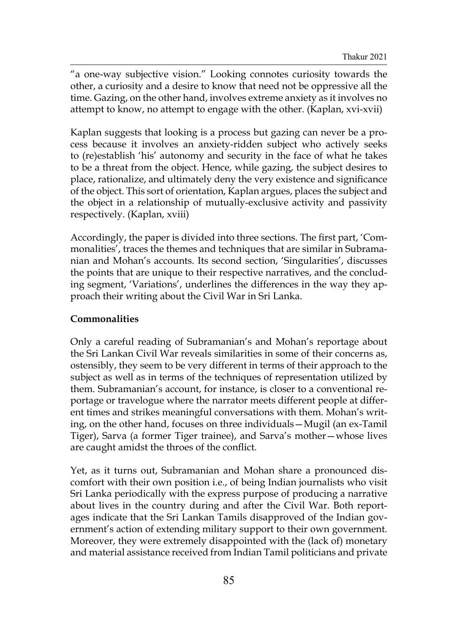"a one-way subjective vision." Looking connotes curiosity towards the other, a curiosity and a desire to know that need not be oppressive all the time. Gazing, on the other hand, involves extreme anxiety as it involves no attempt to know, no attempt to engage with the other. (Kaplan, xvi-xvii)

Kaplan suggests that looking is a process but gazing can never be a process because it involves an anxiety-ridden subject who actively seeks to (re)establish 'his' autonomy and security in the face of what he takes to be a threat from the object. Hence, while gazing, the subject desires to place, rationalize, and ultimately deny the very existence and significance of the object. This sort of orientation, Kaplan argues, places the subject and the object in a relationship of mutually-exclusive activity and passivity respectively. (Kaplan, xviii)

Accordingly, the paper is divided into three sections. The first part, 'Commonalities', traces the themes and techniques that are similar in Subramanian and Mohan's accounts. Its second section, 'Singularities', discusses the points that are unique to their respective narratives, and the concluding segment, 'Variations', underlines the differences in the way they approach their writing about the Civil War in Sri Lanka.

# **Commonalities**

Only a careful reading of Subramanian's and Mohan's reportage about the Sri Lankan Civil War reveals similarities in some of their concerns as, ostensibly, they seem to be very different in terms of their approach to the subject as well as in terms of the techniques of representation utilized by them. Subramanian's account, for instance, is closer to a conventional reportage or travelogue where the narrator meets different people at different times and strikes meaningful conversations with them. Mohan's writing, on the other hand, focuses on three individuals—Mugil (an ex-Tamil Tiger), Sarva (a former Tiger trainee), and Sarva's mother—whose lives are caught amidst the throes of the conflict.

Yet, as it turns out, Subramanian and Mohan share a pronounced discomfort with their own position i.e., of being Indian journalists who visit Sri Lanka periodically with the express purpose of producing a narrative about lives in the country during and after the Civil War. Both reportages indicate that the Sri Lankan Tamils disapproved of the Indian government's action of extending military support to their own government. Moreover, they were extremely disappointed with the (lack of) monetary and material assistance received from Indian Tamil politicians and private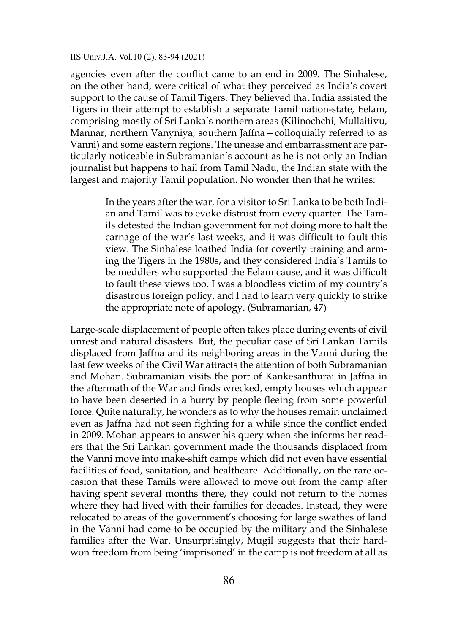agencies even after the conflict came to an end in 2009. The Sinhalese, on the other hand, were critical of what they perceived as India's covert support to the cause of Tamil Tigers. They believed that India assisted the Tigers in their attempt to establish a separate Tamil nation-state, Eelam, comprising mostly of Sri Lanka's northern areas (Kilinochchi, Mullaitivu, Mannar, northern Vanyniya, southern Jaffna—colloquially referred to as Vanni) and some eastern regions. The unease and embarrassment are particularly noticeable in Subramanian's account as he is not only an Indian journalist but happens to hail from Tamil Nadu, the Indian state with the largest and majority Tamil population. No wonder then that he writes:

> In the years after the war, for a visitor to Sri Lanka to be both Indian and Tamil was to evoke distrust from every quarter. The Tamils detested the Indian government for not doing more to halt the carnage of the war's last weeks, and it was difficult to fault this view. The Sinhalese loathed India for covertly training and arming the Tigers in the 1980s, and they considered India's Tamils to be meddlers who supported the Eelam cause, and it was difficult to fault these views too. I was a bloodless victim of my country's disastrous foreign policy, and I had to learn very quickly to strike the appropriate note of apology. (Subramanian, 47)

Large-scale displacement of people often takes place during events of civil unrest and natural disasters. But, the peculiar case of Sri Lankan Tamils displaced from Jaffna and its neighboring areas in the Vanni during the last few weeks of the Civil War attracts the attention of both Subramanian and Mohan. Subramanian visits the port of Kankesanthurai in Jaffna in the aftermath of the War and finds wrecked, empty houses which appear to have been deserted in a hurry by people fleeing from some powerful force. Quite naturally, he wonders as to why the houses remain unclaimed even as Jaffna had not seen fighting for a while since the conflict ended in 2009. Mohan appears to answer his query when she informs her readers that the Sri Lankan government made the thousands displaced from the Vanni move into make-shift camps which did not even have essential facilities of food, sanitation, and healthcare. Additionally, on the rare occasion that these Tamils were allowed to move out from the camp after having spent several months there, they could not return to the homes where they had lived with their families for decades. Instead, they were relocated to areas of the government's choosing for large swathes of land in the Vanni had come to be occupied by the military and the Sinhalese families after the War. Unsurprisingly, Mugil suggests that their hardwon freedom from being 'imprisoned' in the camp is not freedom at all as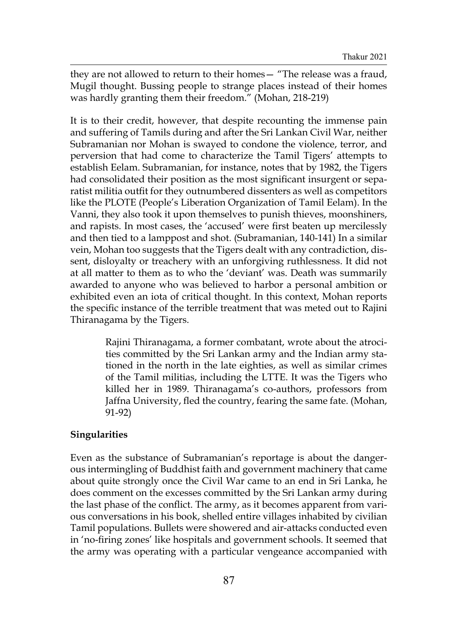they are not allowed to return to their homes— "The release was a fraud, Mugil thought. Bussing people to strange places instead of their homes was hardly granting them their freedom." (Mohan, 218-219)

It is to their credit, however, that despite recounting the immense pain and suffering of Tamils during and after the Sri Lankan Civil War, neither Subramanian nor Mohan is swayed to condone the violence, terror, and perversion that had come to characterize the Tamil Tigers' attempts to establish Eelam. Subramanian, for instance, notes that by 1982, the Tigers had consolidated their position as the most significant insurgent or separatist militia outfit for they outnumbered dissenters as well as competitors like the PLOTE (People's Liberation Organization of Tamil Eelam). In the Vanni, they also took it upon themselves to punish thieves, moonshiners, and rapists. In most cases, the 'accused' were first beaten up mercilessly and then tied to a lamppost and shot. (Subramanian, 140-141) In a similar vein, Mohan too suggests that the Tigers dealt with any contradiction, dissent, disloyalty or treachery with an unforgiving ruthlessness. It did not at all matter to them as to who the 'deviant' was. Death was summarily awarded to anyone who was believed to harbor a personal ambition or exhibited even an iota of critical thought. In this context, Mohan reports the specific instance of the terrible treatment that was meted out to Rajini Thiranagama by the Tigers.

> Rajini Thiranagama, a former combatant, wrote about the atrocities committed by the Sri Lankan army and the Indian army stationed in the north in the late eighties, as well as similar crimes of the Tamil militias, including the LTTE. It was the Tigers who killed her in 1989. Thiranagama's co-authors, professors from Jaffna University, fled the country, fearing the same fate. (Mohan, 91-92)

# **Singularities**

Even as the substance of Subramanian's reportage is about the dangerous intermingling of Buddhist faith and government machinery that came about quite strongly once the Civil War came to an end in Sri Lanka, he does comment on the excesses committed by the Sri Lankan army during the last phase of the conflict. The army, as it becomes apparent from various conversations in his book, shelled entire villages inhabited by civilian Tamil populations. Bullets were showered and air-attacks conducted even in 'no-firing zones' like hospitals and government schools. It seemed that the army was operating with a particular vengeance accompanied with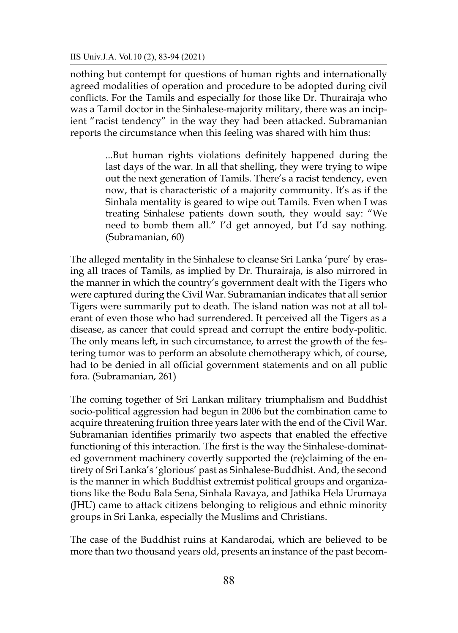nothing but contempt for questions of human rights and internationally agreed modalities of operation and procedure to be adopted during civil conflicts. For the Tamils and especially for those like Dr. Thurairaja who was a Tamil doctor in the Sinhalese-majority military, there was an incipient "racist tendency" in the way they had been attacked. Subramanian reports the circumstance when this feeling was shared with him thus:

> ...But human rights violations definitely happened during the last days of the war. In all that shelling, they were trying to wipe out the next generation of Tamils. There's a racist tendency, even now, that is characteristic of a majority community. It's as if the Sinhala mentality is geared to wipe out Tamils. Even when I was treating Sinhalese patients down south, they would say: "We need to bomb them all." I'd get annoyed, but I'd say nothing. (Subramanian, 60)

The alleged mentality in the Sinhalese to cleanse Sri Lanka 'pure' by erasing all traces of Tamils, as implied by Dr. Thurairaja, is also mirrored in the manner in which the country's government dealt with the Tigers who were captured during the Civil War. Subramanian indicates that all senior Tigers were summarily put to death. The island nation was not at all tolerant of even those who had surrendered. It perceived all the Tigers as a disease, as cancer that could spread and corrupt the entire body-politic. The only means left, in such circumstance, to arrest the growth of the festering tumor was to perform an absolute chemotherapy which, of course, had to be denied in all official government statements and on all public fora. (Subramanian, 261)

The coming together of Sri Lankan military triumphalism and Buddhist socio-political aggression had begun in 2006 but the combination came to acquire threatening fruition three years later with the end of the Civil War. Subramanian identifies primarily two aspects that enabled the effective functioning of this interaction. The first is the way the Sinhalese-dominated government machinery covertly supported the (re)claiming of the entirety of Sri Lanka's 'glorious' past as Sinhalese-Buddhist. And, the second is the manner in which Buddhist extremist political groups and organizations like the Bodu Bala Sena, Sinhala Ravaya, and Jathika Hela Urumaya (JHU) came to attack citizens belonging to religious and ethnic minority groups in Sri Lanka, especially the Muslims and Christians.

The case of the Buddhist ruins at Kandarodai, which are believed to be more than two thousand years old, presents an instance of the past becom-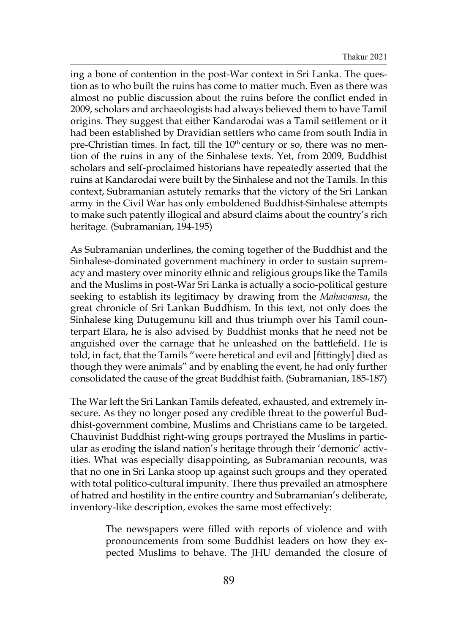ing a bone of contention in the post-War context in Sri Lanka. The question as to who built the ruins has come to matter much. Even as there was almost no public discussion about the ruins before the conflict ended in 2009, scholars and archaeologists had always believed them to have Tamil origins. They suggest that either Kandarodai was a Tamil settlement or it had been established by Dravidian settlers who came from south India in pre-Christian times. In fact, till the  $10<sup>th</sup>$  century or so, there was no mention of the ruins in any of the Sinhalese texts. Yet, from 2009, Buddhist scholars and self-proclaimed historians have repeatedly asserted that the ruins at Kandarodai were built by the Sinhalese and not the Tamils. In this context, Subramanian astutely remarks that the victory of the Sri Lankan army in the Civil War has only emboldened Buddhist-Sinhalese attempts to make such patently illogical and absurd claims about the country's rich heritage. (Subramanian, 194-195)

As Subramanian underlines, the coming together of the Buddhist and the Sinhalese-dominated government machinery in order to sustain supremacy and mastery over minority ethnic and religious groups like the Tamils and the Muslims in post-War Sri Lanka is actually a socio-political gesture seeking to establish its legitimacy by drawing from the *Mahavamsa*, the great chronicle of Sri Lankan Buddhism. In this text, not only does the Sinhalese king Dutugemunu kill and thus triumph over his Tamil counterpart Elara, he is also advised by Buddhist monks that he need not be anguished over the carnage that he unleashed on the battlefield. He is told, in fact, that the Tamils "were heretical and evil and [fittingly] died as though they were animals" and by enabling the event, he had only further consolidated the cause of the great Buddhist faith. (Subramanian, 185-187)

The War left the Sri Lankan Tamils defeated, exhausted, and extremely insecure. As they no longer posed any credible threat to the powerful Buddhist-government combine, Muslims and Christians came to be targeted. Chauvinist Buddhist right-wing groups portrayed the Muslims in particular as eroding the island nation's heritage through their 'demonic' activities. What was especially disappointing, as Subramanian recounts, was that no one in Sri Lanka stoop up against such groups and they operated with total politico-cultural impunity. There thus prevailed an atmosphere of hatred and hostility in the entire country and Subramanian's deliberate, inventory-like description, evokes the same most effectively:

> The newspapers were filled with reports of violence and with pronouncements from some Buddhist leaders on how they expected Muslims to behave. The JHU demanded the closure of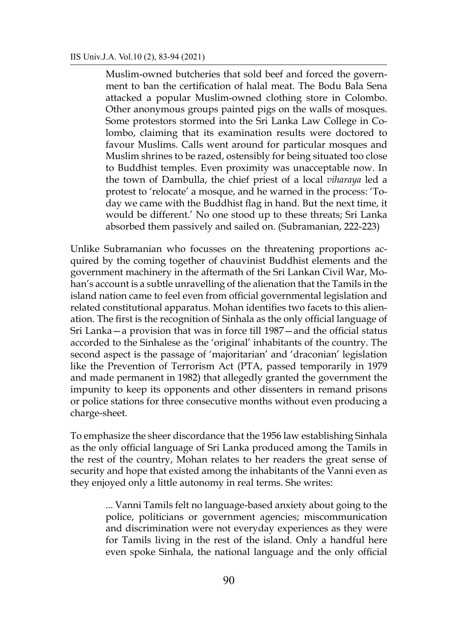Muslim-owned butcheries that sold beef and forced the government to ban the certification of halal meat. The Bodu Bala Sena attacked a popular Muslim-owned clothing store in Colombo. Other anonymous groups painted pigs on the walls of mosques. Some protestors stormed into the Sri Lanka Law College in Colombo, claiming that its examination results were doctored to favour Muslims. Calls went around for particular mosques and Muslim shrines to be razed, ostensibly for being situated too close to Buddhist temples. Even proximity was unacceptable now. In the town of Dambulla, the chief priest of a local *viharaya* led a protest to 'relocate' a mosque, and he warned in the process: 'Today we came with the Buddhist flag in hand. But the next time, it would be different.' No one stood up to these threats; Sri Lanka absorbed them passively and sailed on. (Subramanian, 222-223)

Unlike Subramanian who focusses on the threatening proportions acquired by the coming together of chauvinist Buddhist elements and the government machinery in the aftermath of the Sri Lankan Civil War, Mohan's account is a subtle unravelling of the alienation that the Tamils in the island nation came to feel even from official governmental legislation and related constitutional apparatus. Mohan identifies two facets to this alienation. The first is the recognition of Sinhala as the only official language of Sri Lanka—a provision that was in force till 1987—and the official status accorded to the Sinhalese as the 'original' inhabitants of the country. The second aspect is the passage of 'majoritarian' and 'draconian' legislation like the Prevention of Terrorism Act (PTA, passed temporarily in 1979 and made permanent in 1982) that allegedly granted the government the impunity to keep its opponents and other dissenters in remand prisons or police stations for three consecutive months without even producing a charge-sheet.

To emphasize the sheer discordance that the 1956 law establishing Sinhala as the only official language of Sri Lanka produced among the Tamils in the rest of the country, Mohan relates to her readers the great sense of security and hope that existed among the inhabitants of the Vanni even as they enjoyed only a little autonomy in real terms. She writes:

> ... Vanni Tamils felt no language-based anxiety about going to the police, politicians or government agencies; miscommunication and discrimination were not everyday experiences as they were for Tamils living in the rest of the island. Only a handful here even spoke Sinhala, the national language and the only official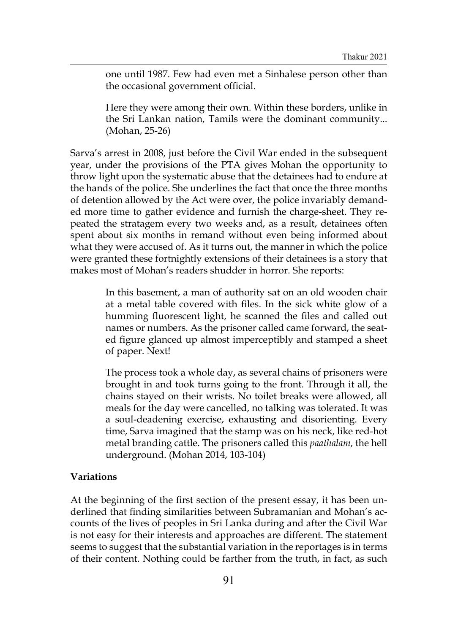one until 1987. Few had even met a Sinhalese person other than the occasional government official.

Here they were among their own. Within these borders, unlike in the Sri Lankan nation, Tamils were the dominant community... (Mohan, 25-26)

Sarva's arrest in 2008, just before the Civil War ended in the subsequent year, under the provisions of the PTA gives Mohan the opportunity to throw light upon the systematic abuse that the detainees had to endure at the hands of the police. She underlines the fact that once the three months of detention allowed by the Act were over, the police invariably demanded more time to gather evidence and furnish the charge-sheet. They repeated the stratagem every two weeks and, as a result, detainees often spent about six months in remand without even being informed about what they were accused of. As it turns out, the manner in which the police were granted these fortnightly extensions of their detainees is a story that makes most of Mohan's readers shudder in horror. She reports:

> In this basement, a man of authority sat on an old wooden chair at a metal table covered with files. In the sick white glow of a humming fluorescent light, he scanned the files and called out names or numbers. As the prisoner called came forward, the seated figure glanced up almost imperceptibly and stamped a sheet of paper. Next!

> The process took a whole day, as several chains of prisoners were brought in and took turns going to the front. Through it all, the chains stayed on their wrists. No toilet breaks were allowed, all meals for the day were cancelled, no talking was tolerated. It was a soul-deadening exercise, exhausting and disorienting. Every time, Sarva imagined that the stamp was on his neck, like red-hot metal branding cattle. The prisoners called this *paathalam*, the hell underground. (Mohan 2014, 103-104)

# **Variations**

At the beginning of the first section of the present essay, it has been underlined that finding similarities between Subramanian and Mohan's accounts of the lives of peoples in Sri Lanka during and after the Civil War is not easy for their interests and approaches are different. The statement seems to suggest that the substantial variation in the reportages is in terms of their content. Nothing could be farther from the truth, in fact, as such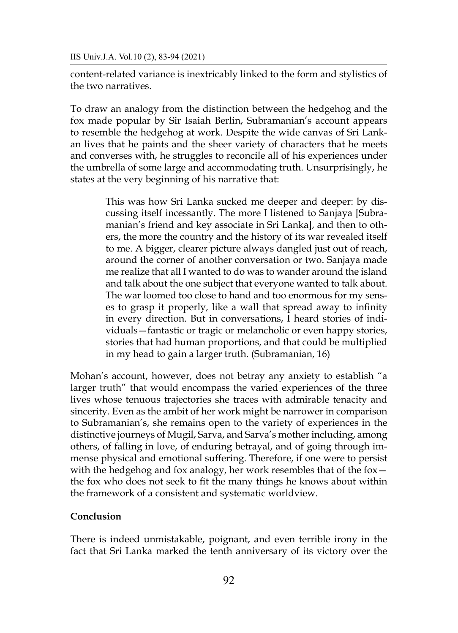IIS Univ.J.A. Vol.10 (2), 83-94 (2021)

content-related variance is inextricably linked to the form and stylistics of the two narratives.

To draw an analogy from the distinction between the hedgehog and the fox made popular by Sir Isaiah Berlin, Subramanian's account appears to resemble the hedgehog at work. Despite the wide canvas of Sri Lankan lives that he paints and the sheer variety of characters that he meets and converses with, he struggles to reconcile all of his experiences under the umbrella of some large and accommodating truth. Unsurprisingly, he states at the very beginning of his narrative that:

> This was how Sri Lanka sucked me deeper and deeper: by discussing itself incessantly. The more I listened to Sanjaya [Subramanian's friend and key associate in Sri Lanka], and then to others, the more the country and the history of its war revealed itself to me. A bigger, clearer picture always dangled just out of reach, around the corner of another conversation or two. Sanjaya made me realize that all I wanted to do was to wander around the island and talk about the one subject that everyone wanted to talk about. The war loomed too close to hand and too enormous for my senses to grasp it properly, like a wall that spread away to infinity in every direction. But in conversations, I heard stories of individuals—fantastic or tragic or melancholic or even happy stories, stories that had human proportions, and that could be multiplied in my head to gain a larger truth. (Subramanian, 16)

Mohan's account, however, does not betray any anxiety to establish "a larger truth" that would encompass the varied experiences of the three lives whose tenuous trajectories she traces with admirable tenacity and sincerity. Even as the ambit of her work might be narrower in comparison to Subramanian's, she remains open to the variety of experiences in the distinctive journeys of Mugil, Sarva, and Sarva's mother including, among others, of falling in love, of enduring betrayal, and of going through immense physical and emotional suffering. Therefore, if one were to persist with the hedgehog and fox analogy, her work resembles that of the fox the fox who does not seek to fit the many things he knows about within the framework of a consistent and systematic worldview.

## **Conclusion**

There is indeed unmistakable, poignant, and even terrible irony in the fact that Sri Lanka marked the tenth anniversary of its victory over the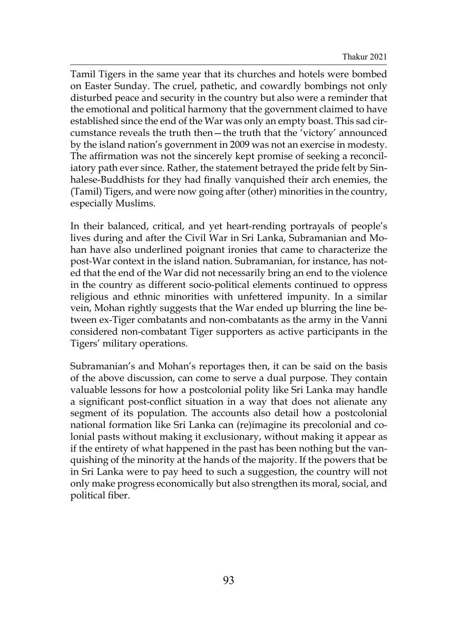Tamil Tigers in the same year that its churches and hotels were bombed on Easter Sunday. The cruel, pathetic, and cowardly bombings not only disturbed peace and security in the country but also were a reminder that the emotional and political harmony that the government claimed to have established since the end of the War was only an empty boast. This sad circumstance reveals the truth then—the truth that the 'victory' announced by the island nation's government in 2009 was not an exercise in modesty. The affirmation was not the sincerely kept promise of seeking a reconciliatory path ever since. Rather, the statement betrayed the pride felt by Sinhalese-Buddhists for they had finally vanquished their arch enemies, the (Tamil) Tigers, and were now going after (other) minorities in the country, especially Muslims.

In their balanced, critical, and yet heart-rending portrayals of people's lives during and after the Civil War in Sri Lanka, Subramanian and Mohan have also underlined poignant ironies that came to characterize the post-War context in the island nation. Subramanian, for instance, has noted that the end of the War did not necessarily bring an end to the violence in the country as different socio-political elements continued to oppress religious and ethnic minorities with unfettered impunity. In a similar vein, Mohan rightly suggests that the War ended up blurring the line between ex-Tiger combatants and non-combatants as the army in the Vanni considered non-combatant Tiger supporters as active participants in the Tigers' military operations.

Subramanian's and Mohan's reportages then, it can be said on the basis of the above discussion, can come to serve a dual purpose. They contain valuable lessons for how a postcolonial polity like Sri Lanka may handle a significant post-conflict situation in a way that does not alienate any segment of its population. The accounts also detail how a postcolonial national formation like Sri Lanka can (re)imagine its precolonial and colonial pasts without making it exclusionary, without making it appear as if the entirety of what happened in the past has been nothing but the vanquishing of the minority at the hands of the majority. If the powers that be in Sri Lanka were to pay heed to such a suggestion, the country will not only make progress economically but also strengthen its moral, social, and political fiber.